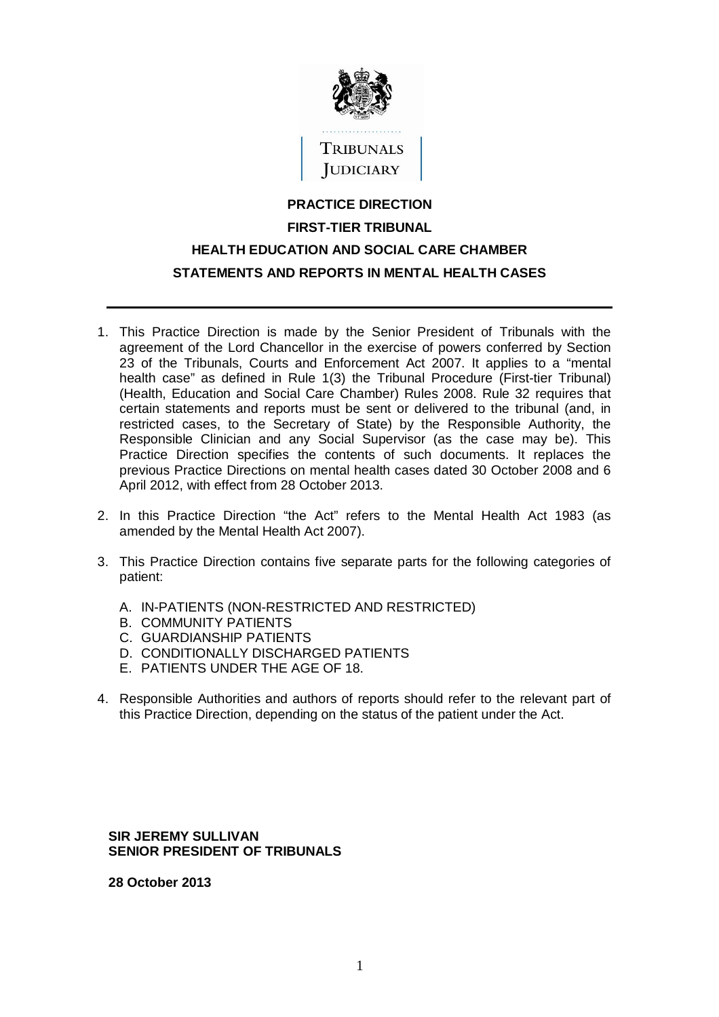

# **PRACTICE DIRECTION FIRST-TIER TRIBUNAL HEALTH EDUCATION AND SOCIAL CARE CHAMBER STATEMENTS AND REPORTS IN MENTAL HEALTH CASES**

- 1. This Practice Direction is made by the Senior President of Tribunals with the agreement of the Lord Chancellor in the exercise of powers conferred by Section 23 of the Tribunals, Courts and Enforcement Act 2007. It applies to a "mental health case" as defined in Rule 1(3) the Tribunal Procedure (First-tier Tribunal) (Health, Education and Social Care Chamber) Rules 2008. Rule 32 requires that certain statements and reports must be sent or delivered to the tribunal (and, in restricted cases, to the Secretary of State) by the Responsible Authority, the Responsible Clinician and any Social Supervisor (as the case may be). This Practice Direction specifies the contents of such documents. It replaces the previous Practice Directions on mental health cases dated 30 October 2008 and 6 April 2012, with effect from 28 October 2013.
- 2. In this Practice Direction "the Act" refers to the Mental Health Act 1983 (as amended by the Mental Health Act 2007).
- 3. This Practice Direction contains five separate parts for the following categories of patient:
	- A. IN-PATIENTS (NON-RESTRICTED AND RESTRICTED)
	- B. COMMUNITY PATIENTS
	- C. GUARDIANSHIP PATIENTS
	- D. CONDITIONALLY DISCHARGED PATIENTS
	- E. PATIENTS UNDER THE AGE OF 18.
- 4. Responsible Authorities and authors of reports should refer to the relevant part of this Practice Direction, depending on the status of the patient under the Act.

**SIR JEREMY SULLIVAN SENIOR PRESIDENT OF TRIBUNALS**

**28 October 2013**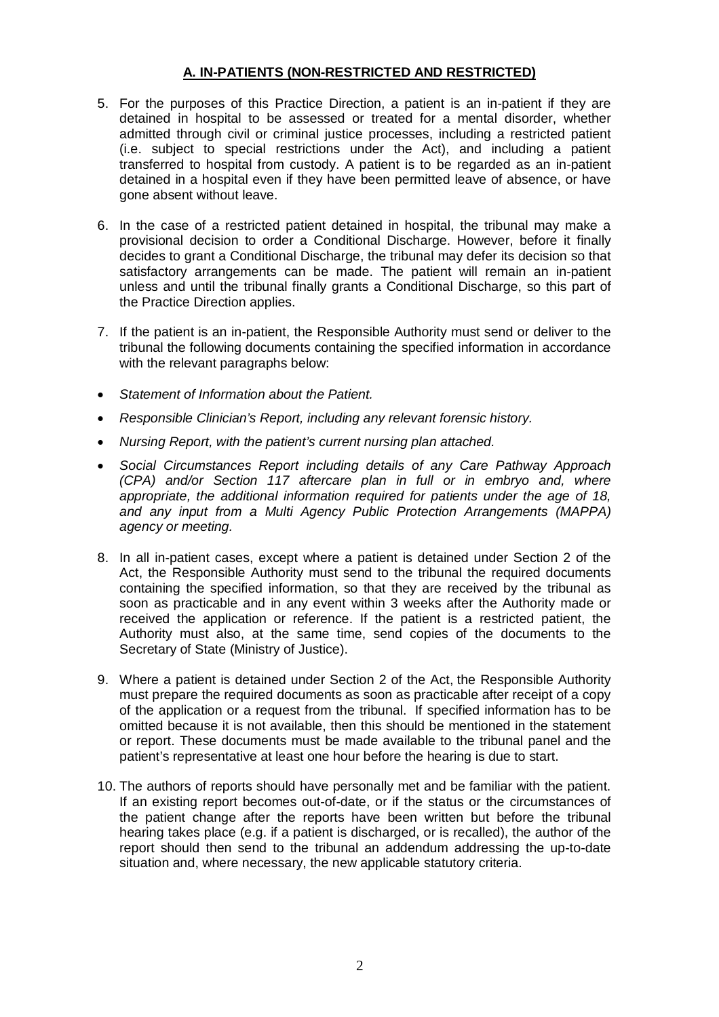# **A. IN-PATIENTS (NON-RESTRICTED AND RESTRICTED)**

- 5. For the purposes of this Practice Direction, a patient is an in-patient if they are detained in hospital to be assessed or treated for a mental disorder, whether admitted through civil or criminal justice processes, including a restricted patient (i.e. subject to special restrictions under the Act), and including a patient transferred to hospital from custody. A patient is to be regarded as an in-patient detained in a hospital even if they have been permitted leave of absence, or have gone absent without leave.
- 6. In the case of a restricted patient detained in hospital, the tribunal may make a provisional decision to order a Conditional Discharge. However, before it finally decides to grant a Conditional Discharge, the tribunal may defer its decision so that satisfactory arrangements can be made. The patient will remain an in-patient unless and until the tribunal finally grants a Conditional Discharge, so this part of the Practice Direction applies.
- 7. If the patient is an in-patient, the Responsible Authority must send or deliver to the tribunal the following documents containing the specified information in accordance with the relevant paragraphs below:
- *Statement of Information about the Patient.*
- *Responsible Clinician's Report, including any relevant forensic history.*
- *Nursing Report, with the patient's current nursing plan attached.*
- *Social Circumstances Report including details of any Care Pathway Approach (CPA) and/or Section 117 aftercare plan in full or in embryo and, where appropriate, the additional information required for patients under the age of 18, and any input from a Multi Agency Public Protection Arrangements (MAPPA) agency or meeting.*
- 8. In all in-patient cases, except where a patient is detained under Section 2 of the Act, the Responsible Authority must send to the tribunal the required documents containing the specified information, so that they are received by the tribunal as soon as practicable and in any event within 3 weeks after the Authority made or received the application or reference. If the patient is a restricted patient, the Authority must also, at the same time, send copies of the documents to the Secretary of State (Ministry of Justice).
- 9. Where a patient is detained under Section 2 of the Act, the Responsible Authority must prepare the required documents as soon as practicable after receipt of a copy of the application or a request from the tribunal. If specified information has to be omitted because it is not available, then this should be mentioned in the statement or report. These documents must be made available to the tribunal panel and the patient's representative at least one hour before the hearing is due to start.
- 10. The authors of reports should have personally met and be familiar with the patient. If an existing report becomes out-of-date, or if the status or the circumstances of the patient change after the reports have been written but before the tribunal hearing takes place (e.g. if a patient is discharged, or is recalled), the author of the report should then send to the tribunal an addendum addressing the up-to-date situation and, where necessary, the new applicable statutory criteria.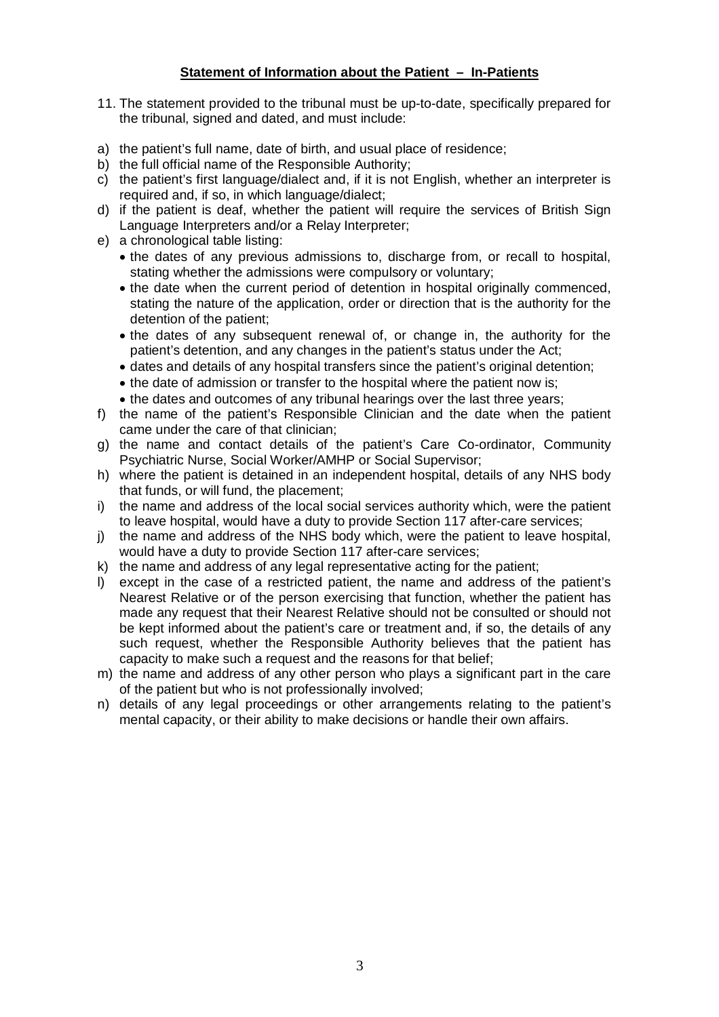# **Statement of Information about the Patient – In-Patients**

- 11. The statement provided to the tribunal must be up-to-date, specifically prepared for the tribunal, signed and dated, and must include:
- a) the patient's full name, date of birth, and usual place of residence;
- b) the full official name of the Responsible Authority;
- c) the patient's first language/dialect and, if it is not English, whether an interpreter is required and, if so, in which language/dialect;
- d) if the patient is deaf, whether the patient will require the services of British Sign Language Interpreters and/or a Relay Interpreter;
- e) a chronological table listing:
	- the dates of any previous admissions to, discharge from, or recall to hospital, stating whether the admissions were compulsory or voluntary;
	- the date when the current period of detention in hospital originally commenced, stating the nature of the application, order or direction that is the authority for the detention of the patient;
	- the dates of any subsequent renewal of, or change in, the authority for the patient's detention, and any changes in the patient's status under the Act;
	- dates and details of any hospital transfers since the patient's original detention;
	- the date of admission or transfer to the hospital where the patient now is;
	- the dates and outcomes of any tribunal hearings over the last three years;
- f) the name of the patient's Responsible Clinician and the date when the patient came under the care of that clinician;
- g) the name and contact details of the patient's Care Co-ordinator, Community Psychiatric Nurse, Social Worker/AMHP or Social Supervisor;
- h) where the patient is detained in an independent hospital, details of any NHS body that funds, or will fund, the placement;
- i) the name and address of the local social services authority which, were the patient to leave hospital, would have a duty to provide Section 117 after-care services;
- j) the name and address of the NHS body which, were the patient to leave hospital, would have a duty to provide Section 117 after-care services;
- k) the name and address of any legal representative acting for the patient;
- l) except in the case of a restricted patient, the name and address of the patient's Nearest Relative or of the person exercising that function, whether the patient has made any request that their Nearest Relative should not be consulted or should not be kept informed about the patient's care or treatment and, if so, the details of any such request, whether the Responsible Authority believes that the patient has capacity to make such a request and the reasons for that belief;
- m) the name and address of any other person who plays a significant part in the care of the patient but who is not professionally involved;
- n) details of any legal proceedings or other arrangements relating to the patient's mental capacity, or their ability to make decisions or handle their own affairs.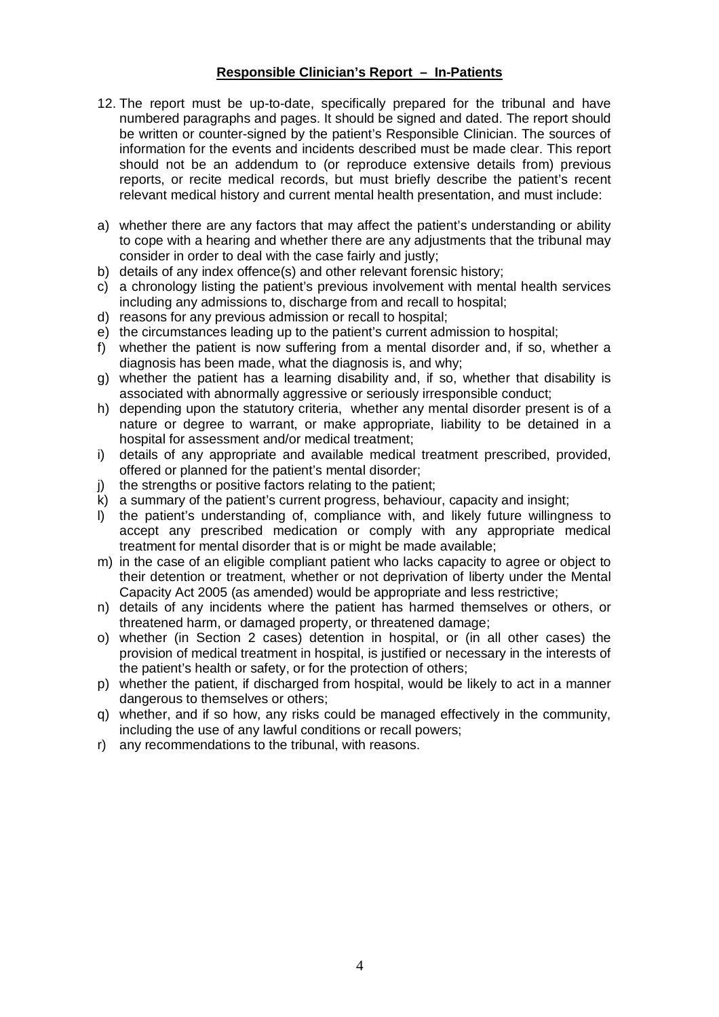#### **Responsible Clinician's Report – In-Patients**

- 12. The report must be up-to-date, specifically prepared for the tribunal and have numbered paragraphs and pages. It should be signed and dated. The report should be written or counter-signed by the patient's Responsible Clinician. The sources of information for the events and incidents described must be made clear. This report should not be an addendum to (or reproduce extensive details from) previous reports, or recite medical records, but must briefly describe the patient's recent relevant medical history and current mental health presentation, and must include:
- a) whether there are any factors that may affect the patient's understanding or ability to cope with a hearing and whether there are any adjustments that the tribunal may consider in order to deal with the case fairly and justly;
- b) details of any index offence(s) and other relevant forensic history;
- c) a chronology listing the patient's previous involvement with mental health services including any admissions to, discharge from and recall to hospital:
- d) reasons for any previous admission or recall to hospital;
- e) the circumstances leading up to the patient's current admission to hospital;
- f) whether the patient is now suffering from a mental disorder and, if so, whether a diagnosis has been made, what the diagnosis is, and why;
- g) whether the patient has a learning disability and, if so, whether that disability is associated with abnormally aggressive or seriously irresponsible conduct;
- h) depending upon the statutory criteria, whether any mental disorder present is of a nature or degree to warrant, or make appropriate, liability to be detained in a hospital for assessment and/or medical treatment;
- i) details of any appropriate and available medical treatment prescribed, provided, offered or planned for the patient's mental disorder;
- j) the strengths or positive factors relating to the patient;
- k) a summary of the patient's current progress, behaviour, capacity and insight;
- l) the patient's understanding of, compliance with, and likely future willingness to accept any prescribed medication or comply with any appropriate medical treatment for mental disorder that is or might be made available;
- m) in the case of an eligible compliant patient who lacks capacity to agree or object to their detention or treatment, whether or not deprivation of liberty under the Mental Capacity Act 2005 (as amended) would be appropriate and less restrictive;
- n) details of any incidents where the patient has harmed themselves or others, or threatened harm, or damaged property, or threatened damage;
- o) whether (in Section 2 cases) detention in hospital, or (in all other cases) the provision of medical treatment in hospital, is justified or necessary in the interests of the patient's health or safety, or for the protection of others;
- p) whether the patient, if discharged from hospital, would be likely to act in a manner dangerous to themselves or others;
- q) whether, and if so how, any risks could be managed effectively in the community, including the use of any lawful conditions or recall powers;
- r) any recommendations to the tribunal, with reasons.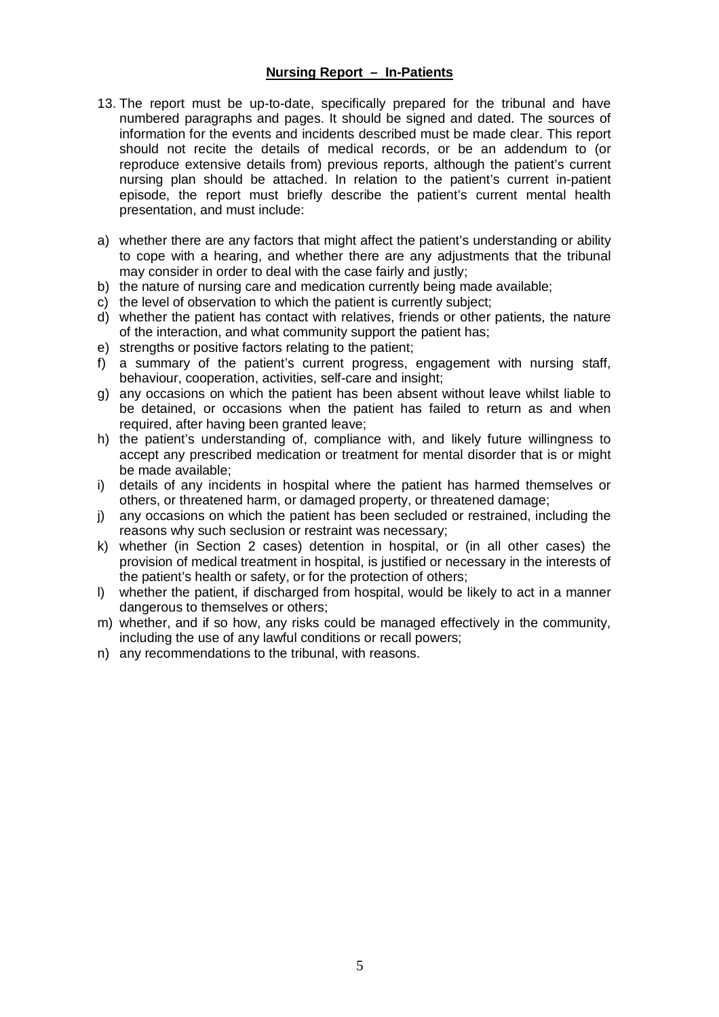## **Nursing Report – In-Patients**

- 13. The report must be up-to-date, specifically prepared for the tribunal and have numbered paragraphs and pages. It should be signed and dated. The sources of information for the events and incidents described must be made clear. This report should not recite the details of medical records, or be an addendum to (or reproduce extensive details from) previous reports, although the patient's current nursing plan should be attached. In relation to the patient's current in-patient episode, the report must briefly describe the patient's current mental health presentation, and must include:
- a) whether there are any factors that might affect the patient's understanding or ability to cope with a hearing, and whether there are any adjustments that the tribunal may consider in order to deal with the case fairly and justly;
- b) the nature of nursing care and medication currently being made available;
- c) the level of observation to which the patient is currently subject;
- d) whether the patient has contact with relatives, friends or other patients, the nature of the interaction, and what community support the patient has;
- e) strengths or positive factors relating to the patient;
- f) a summary of the patient's current progress, engagement with nursing staff, behaviour, cooperation, activities, self-care and insight;
- g) any occasions on which the patient has been absent without leave whilst liable to be detained, or occasions when the patient has failed to return as and when required, after having been granted leave;
- h) the patient's understanding of, compliance with, and likely future willingness to accept any prescribed medication or treatment for mental disorder that is or might be made available;
- i) details of any incidents in hospital where the patient has harmed themselves or others, or threatened harm, or damaged property, or threatened damage;
- j) any occasions on which the patient has been secluded or restrained, including the reasons why such seclusion or restraint was necessary;
- k) whether (in Section 2 cases) detention in hospital, or (in all other cases) the provision of medical treatment in hospital, is justified or necessary in the interests of the patient's health or safety, or for the protection of others;
- l) whether the patient, if discharged from hospital, would be likely to act in a manner dangerous to themselves or others;
- m) whether, and if so how, any risks could be managed effectively in the community, including the use of any lawful conditions or recall powers;
- n) any recommendations to the tribunal, with reasons.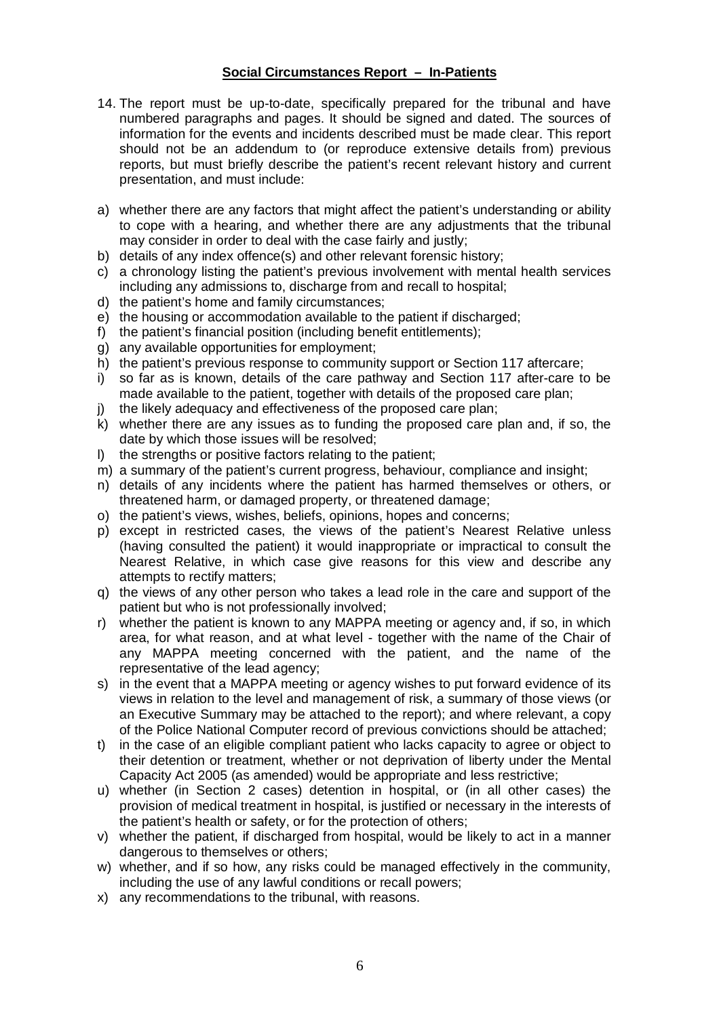# **Social Circumstances Report – In-Patients**

- 14. The report must be up-to-date, specifically prepared for the tribunal and have numbered paragraphs and pages. It should be signed and dated. The sources of information for the events and incidents described must be made clear. This report should not be an addendum to (or reproduce extensive details from) previous reports, but must briefly describe the patient's recent relevant history and current presentation, and must include:
- a) whether there are any factors that might affect the patient's understanding or ability to cope with a hearing, and whether there are any adjustments that the tribunal may consider in order to deal with the case fairly and justly;
- b) details of any index offence(s) and other relevant forensic history;
- c) a chronology listing the patient's previous involvement with mental health services including any admissions to, discharge from and recall to hospital:
- d) the patient's home and family circumstances;
- e) the housing or accommodation available to the patient if discharged:
- f) the patient's financial position (including benefit entitlements);
- g) any available opportunities for employment;
- h) the patient's previous response to community support or Section 117 aftercare;
- i) so far as is known, details of the care pathway and Section 117 after-care to be made available to the patient, together with details of the proposed care plan;
- j) the likely adequacy and effectiveness of the proposed care plan;
- k) whether there are any issues as to funding the proposed care plan and, if so, the date by which those issues will be resolved;
- l) the strengths or positive factors relating to the patient;
- m) a summary of the patient's current progress, behaviour, compliance and insight;
- n) details of any incidents where the patient has harmed themselves or others, or threatened harm, or damaged property, or threatened damage;
- o) the patient's views, wishes, beliefs, opinions, hopes and concerns;
- p) except in restricted cases, the views of the patient's Nearest Relative unless (having consulted the patient) it would inappropriate or impractical to consult the Nearest Relative, in which case give reasons for this view and describe any attempts to rectify matters;
- q) the views of any other person who takes a lead role in the care and support of the patient but who is not professionally involved;
- r) whether the patient is known to any MAPPA meeting or agency and, if so, in which area, for what reason, and at what level - together with the name of the Chair of any MAPPA meeting concerned with the patient, and the name of the representative of the lead agency;
- s) in the event that a MAPPA meeting or agency wishes to put forward evidence of its views in relation to the level and management of risk, a summary of those views (or an Executive Summary may be attached to the report); and where relevant, a copy of the Police National Computer record of previous convictions should be attached;
- t) in the case of an eligible compliant patient who lacks capacity to agree or object to their detention or treatment, whether or not deprivation of liberty under the Mental Capacity Act 2005 (as amended) would be appropriate and less restrictive;
- u) whether (in Section 2 cases) detention in hospital, or (in all other cases) the provision of medical treatment in hospital, is justified or necessary in the interests of the patient's health or safety, or for the protection of others;
- v) whether the patient, if discharged from hospital, would be likely to act in a manner dangerous to themselves or others;
- w) whether, and if so how, any risks could be managed effectively in the community, including the use of any lawful conditions or recall powers;
- x) any recommendations to the tribunal, with reasons.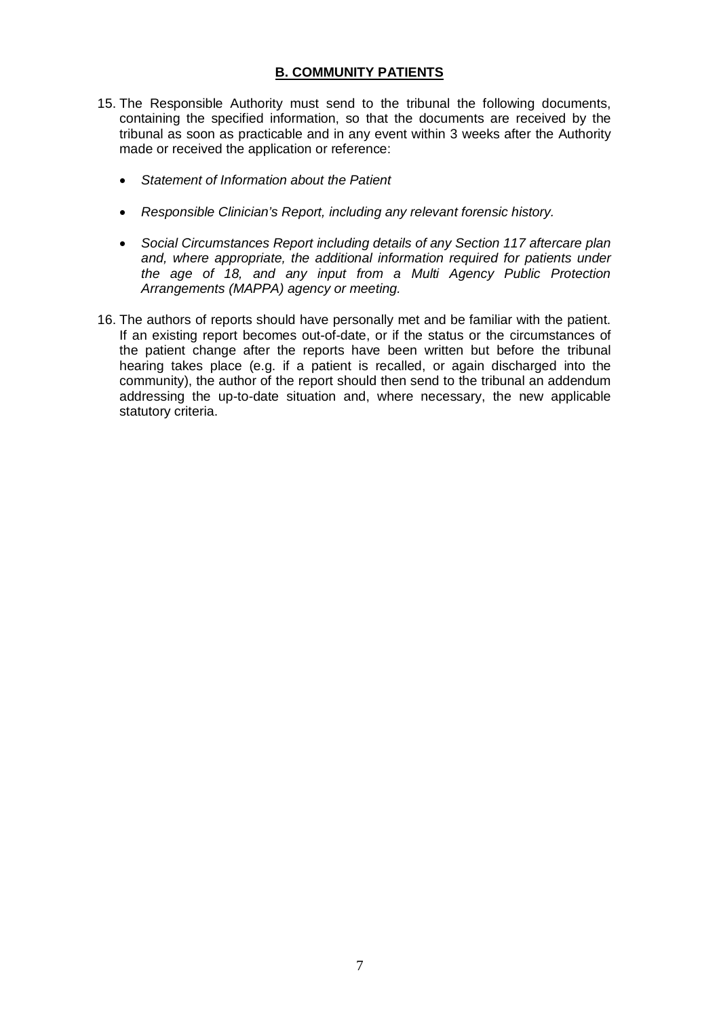## **B. COMMUNITY PATIENTS**

- 15. The Responsible Authority must send to the tribunal the following documents, containing the specified information, so that the documents are received by the tribunal as soon as practicable and in any event within 3 weeks after the Authority made or received the application or reference:
	- *Statement of Information about the Patient*
	- *Responsible Clinician's Report, including any relevant forensic history.*
	- *Social Circumstances Report including details of any Section 117 aftercare plan*  and, where appropriate, the additional information required for patients under *the age of 18, and any input from a Multi Agency Public Protection Arrangements (MAPPA) agency or meeting.*
- 16. The authors of reports should have personally met and be familiar with the patient. If an existing report becomes out-of-date, or if the status or the circumstances of the patient change after the reports have been written but before the tribunal hearing takes place (e.g. if a patient is recalled, or again discharged into the community), the author of the report should then send to the tribunal an addendum addressing the up-to-date situation and, where necessary, the new applicable statutory criteria.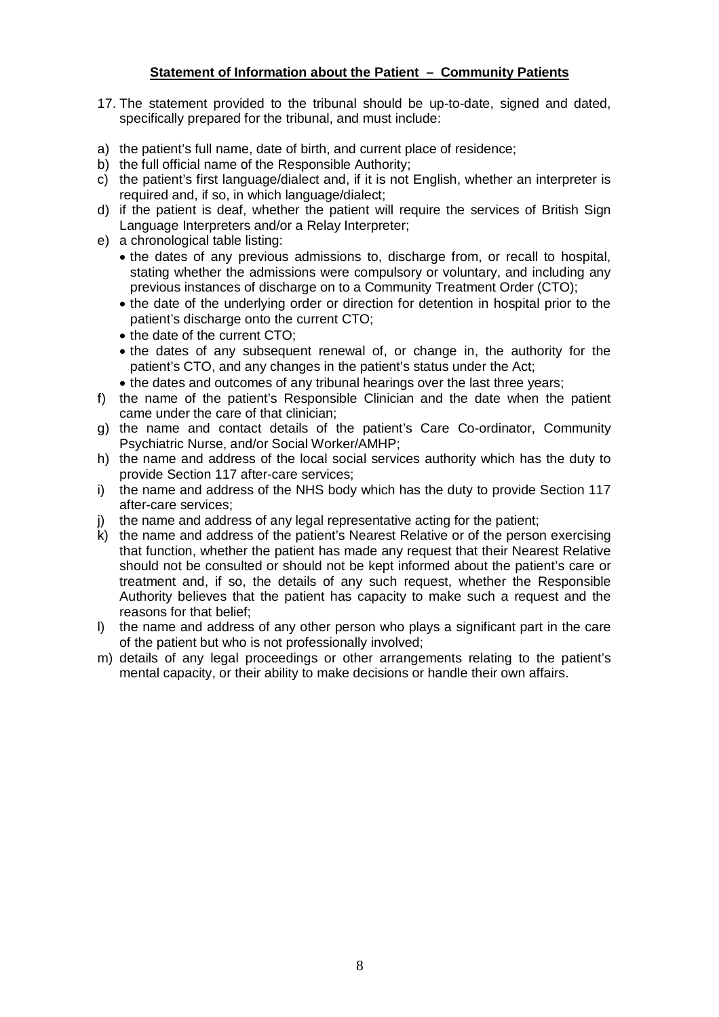# **Statement of Information about the Patient – Community Patients**

- 17. The statement provided to the tribunal should be up-to-date, signed and dated, specifically prepared for the tribunal, and must include:
- a) the patient's full name, date of birth, and current place of residence;
- b) the full official name of the Responsible Authority;
- c) the patient's first language/dialect and, if it is not English, whether an interpreter is required and, if so, in which language/dialect;
- d) if the patient is deaf, whether the patient will require the services of British Sign Language Interpreters and/or a Relay Interpreter;
- e) a chronological table listing:
	- the dates of any previous admissions to, discharge from, or recall to hospital, stating whether the admissions were compulsory or voluntary, and including any previous instances of discharge on to a Community Treatment Order (CTO);
	- the date of the underlying order or direction for detention in hospital prior to the patient's discharge onto the current CTO;
	- the date of the current CTO:
	- the dates of any subsequent renewal of, or change in, the authority for the patient's CTO, and any changes in the patient's status under the Act;
	- the dates and outcomes of any tribunal hearings over the last three years;
- f) the name of the patient's Responsible Clinician and the date when the patient came under the care of that clinician;
- g) the name and contact details of the patient's Care Co-ordinator, Community Psychiatric Nurse, and/or Social Worker/AMHP;
- h) the name and address of the local social services authority which has the duty to provide Section 117 after-care services;
- i) the name and address of the NHS body which has the duty to provide Section 117 after-care services;
- j) the name and address of any legal representative acting for the patient;
- k) the name and address of the patient's Nearest Relative or of the person exercising that function, whether the patient has made any request that their Nearest Relative should not be consulted or should not be kept informed about the patient's care or treatment and, if so, the details of any such request, whether the Responsible Authority believes that the patient has capacity to make such a request and the reasons for that belief;
- l) the name and address of any other person who plays a significant part in the care of the patient but who is not professionally involved;
- m) details of any legal proceedings or other arrangements relating to the patient's mental capacity, or their ability to make decisions or handle their own affairs.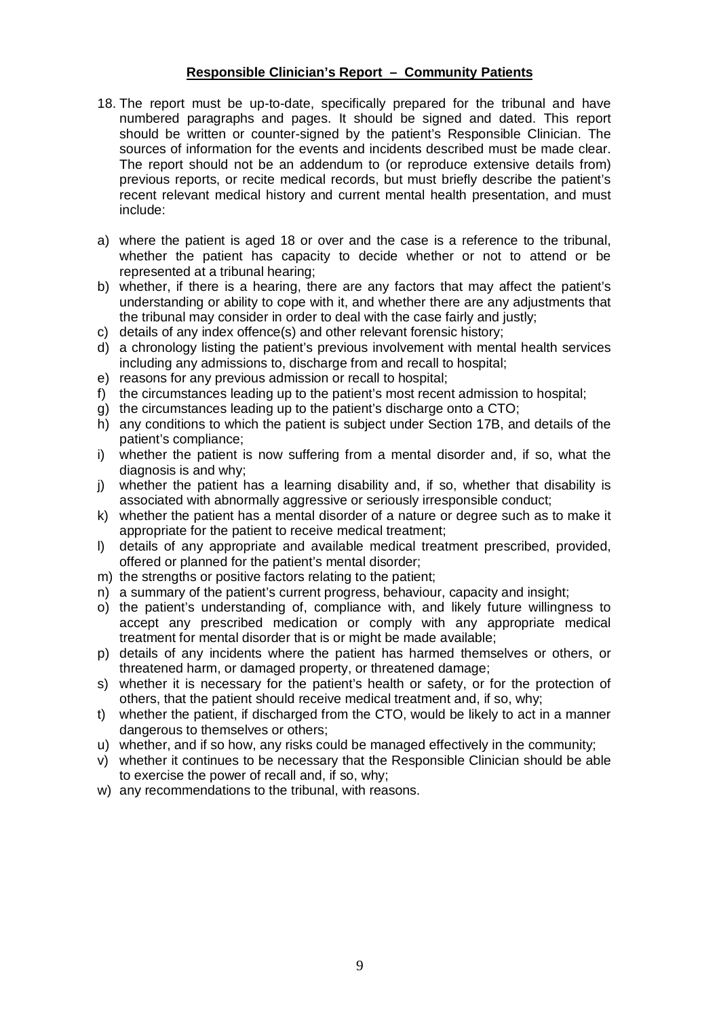# **Responsible Clinician's Report – Community Patients**

- 18. The report must be up-to-date, specifically prepared for the tribunal and have numbered paragraphs and pages. It should be signed and dated. This report should be written or counter-signed by the patient's Responsible Clinician. The sources of information for the events and incidents described must be made clear. The report should not be an addendum to (or reproduce extensive details from) previous reports, or recite medical records, but must briefly describe the patient's recent relevant medical history and current mental health presentation, and must include:
- a) where the patient is aged 18 or over and the case is a reference to the tribunal, whether the patient has capacity to decide whether or not to attend or be represented at a tribunal hearing;
- b) whether, if there is a hearing, there are any factors that may affect the patient's understanding or ability to cope with it, and whether there are any adjustments that the tribunal may consider in order to deal with the case fairly and justly;
- c) details of any index offence(s) and other relevant forensic history;
- d) a chronology listing the patient's previous involvement with mental health services including any admissions to, discharge from and recall to hospital;
- e) reasons for any previous admission or recall to hospital;
- f) the circumstances leading up to the patient's most recent admission to hospital;
- g) the circumstances leading up to the patient's discharge onto a CTO;
- h) any conditions to which the patient is subject under Section 17B, and details of the patient's compliance;
- i) whether the patient is now suffering from a mental disorder and, if so, what the diagnosis is and why;
- j) whether the patient has a learning disability and, if so, whether that disability is associated with abnormally aggressive or seriously irresponsible conduct;
- k) whether the patient has a mental disorder of a nature or degree such as to make it appropriate for the patient to receive medical treatment;
- l) details of any appropriate and available medical treatment prescribed, provided, offered or planned for the patient's mental disorder;
- m) the strengths or positive factors relating to the patient:
- n) a summary of the patient's current progress, behaviour, capacity and insight;
- o) the patient's understanding of, compliance with, and likely future willingness to accept any prescribed medication or comply with any appropriate medical treatment for mental disorder that is or might be made available;
- p) details of any incidents where the patient has harmed themselves or others, or threatened harm, or damaged property, or threatened damage;
- s) whether it is necessary for the patient's health or safety, or for the protection of others, that the patient should receive medical treatment and, if so, why;
- t) whether the patient, if discharged from the CTO, would be likely to act in a manner dangerous to themselves or others;
- u) whether, and if so how, any risks could be managed effectively in the community;
- v) whether it continues to be necessary that the Responsible Clinician should be able to exercise the power of recall and, if so, why;
- w) any recommendations to the tribunal, with reasons.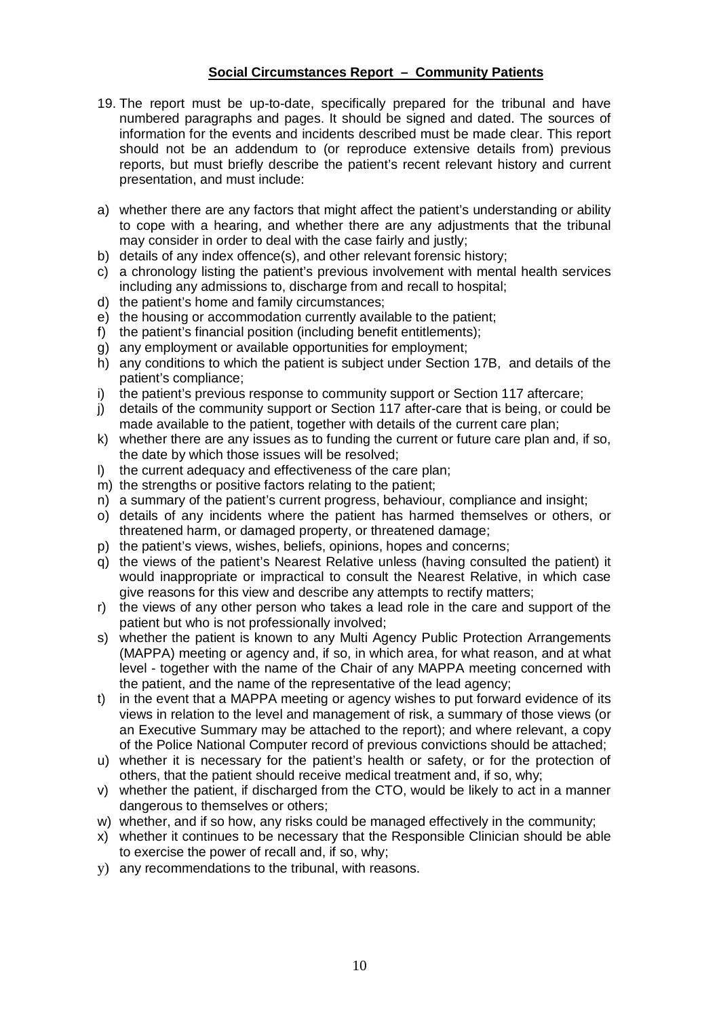# **Social Circumstances Report – Community Patients**

- 19. The report must be up-to-date, specifically prepared for the tribunal and have numbered paragraphs and pages. It should be signed and dated. The sources of information for the events and incidents described must be made clear. This report should not be an addendum to (or reproduce extensive details from) previous reports, but must briefly describe the patient's recent relevant history and current presentation, and must include:
- a) whether there are any factors that might affect the patient's understanding or ability to cope with a hearing, and whether there are any adjustments that the tribunal may consider in order to deal with the case fairly and justly;
- b) details of any index offence(s), and other relevant forensic history;
- c) a chronology listing the patient's previous involvement with mental health services including any admissions to, discharge from and recall to hospital;
- d) the patient's home and family circumstances;
- e) the housing or accommodation currently available to the patient;
- f) the patient's financial position (including benefit entitlements);
- g) any employment or available opportunities for employment;
- h) any conditions to which the patient is subject under Section 17B, and details of the patient's compliance;
- i) the patient's previous response to community support or Section 117 aftercare;
- j) details of the community support or Section 117 after-care that is being, or could be made available to the patient, together with details of the current care plan;
- k) whether there are any issues as to funding the current or future care plan and, if so, the date by which those issues will be resolved;
- l) the current adequacy and effectiveness of the care plan;
- m) the strengths or positive factors relating to the patient;
- n) a summary of the patient's current progress, behaviour, compliance and insight;
- o) details of any incidents where the patient has harmed themselves or others, or threatened harm, or damaged property, or threatened damage;
- p) the patient's views, wishes, beliefs, opinions, hopes and concerns;
- q) the views of the patient's Nearest Relative unless (having consulted the patient) it would inappropriate or impractical to consult the Nearest Relative, in which case give reasons for this view and describe any attempts to rectify matters;
- r) the views of any other person who takes a lead role in the care and support of the patient but who is not professionally involved;
- s) whether the patient is known to any Multi Agency Public Protection Arrangements (MAPPA) meeting or agency and, if so, in which area, for what reason, and at what level - together with the name of the Chair of any MAPPA meeting concerned with the patient, and the name of the representative of the lead agency;
- t) in the event that a MAPPA meeting or agency wishes to put forward evidence of its views in relation to the level and management of risk, a summary of those views (or an Executive Summary may be attached to the report); and where relevant, a copy of the Police National Computer record of previous convictions should be attached;
- u) whether it is necessary for the patient's health or safety, or for the protection of others, that the patient should receive medical treatment and, if so, why;
- v) whether the patient, if discharged from the CTO, would be likely to act in a manner dangerous to themselves or others;
- w) whether, and if so how, any risks could be managed effectively in the community;
- x) whether it continues to be necessary that the Responsible Clinician should be able to exercise the power of recall and, if so, why;
- y) any recommendations to the tribunal, with reasons.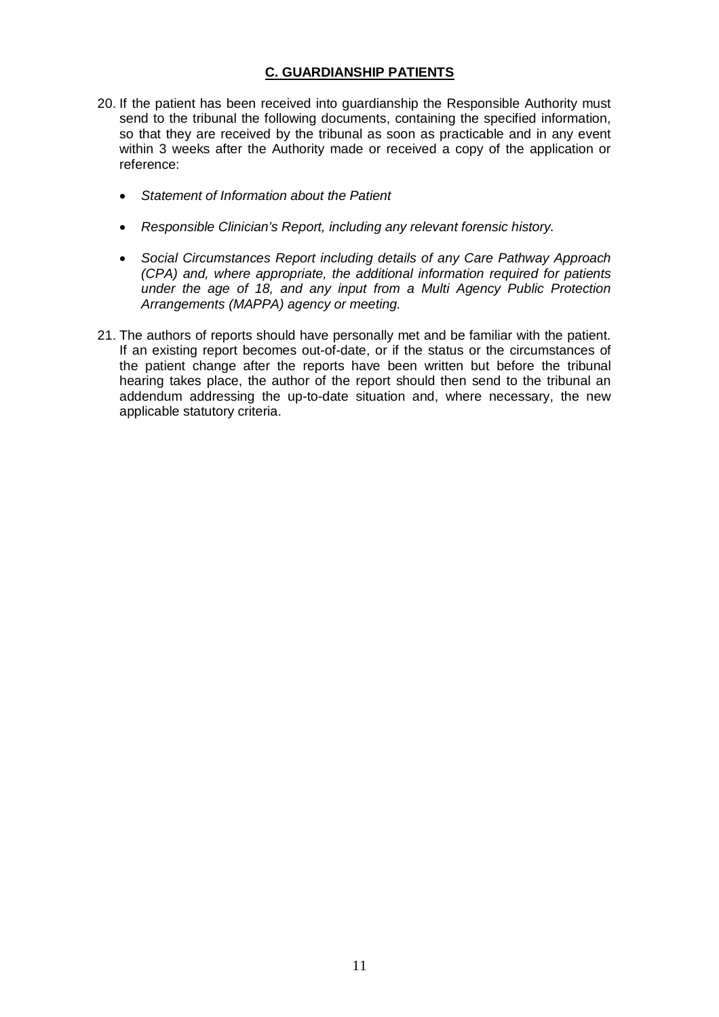# **C. GUARDIANSHIP PATIENTS**

- 20. If the patient has been received into guardianship the Responsible Authority must send to the tribunal the following documents, containing the specified information, so that they are received by the tribunal as soon as practicable and in any event within 3 weeks after the Authority made or received a copy of the application or reference:
	- *Statement of Information about the Patient*
	- *Responsible Clinician's Report, including any relevant forensic history.*
	- *Social Circumstances Report including details of any Care Pathway Approach (CPA) and, where appropriate, the additional information required for patients under the age of 18, and any input from a Multi Agency Public Protection Arrangements (MAPPA) agency or meeting.*
- 21. The authors of reports should have personally met and be familiar with the patient. If an existing report becomes out-of-date, or if the status or the circumstances of the patient change after the reports have been written but before the tribunal hearing takes place, the author of the report should then send to the tribunal an addendum addressing the up-to-date situation and, where necessary, the new applicable statutory criteria.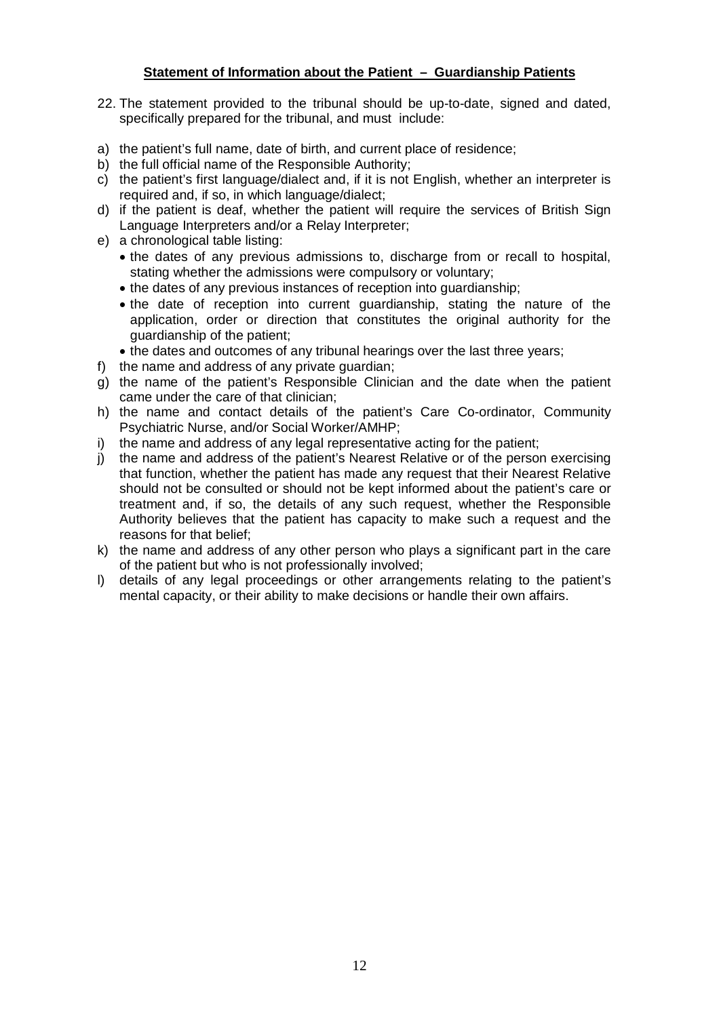## **Statement of Information about the Patient – Guardianship Patients**

- 22. The statement provided to the tribunal should be up-to-date, signed and dated, specifically prepared for the tribunal, and must include:
- a) the patient's full name, date of birth, and current place of residence;
- b) the full official name of the Responsible Authority;
- c) the patient's first language/dialect and, if it is not English, whether an interpreter is required and, if so, in which language/dialect;
- d) if the patient is deaf, whether the patient will require the services of British Sign Language Interpreters and/or a Relay Interpreter;
- e) a chronological table listing:
	- the dates of any previous admissions to, discharge from or recall to hospital, stating whether the admissions were compulsory or voluntary;
	- the dates of any previous instances of reception into quardianship:
	- the date of reception into current guardianship, stating the nature of the application, order or direction that constitutes the original authority for the guardianship of the patient;
	- the dates and outcomes of any tribunal hearings over the last three years;
- f) the name and address of any private guardian;
- g) the name of the patient's Responsible Clinician and the date when the patient came under the care of that clinician;
- h) the name and contact details of the patient's Care Co-ordinator, Community Psychiatric Nurse, and/or Social Worker/AMHP;
- i) the name and address of any legal representative acting for the patient:
- j) the name and address of the patient's Nearest Relative or of the person exercising that function, whether the patient has made any request that their Nearest Relative should not be consulted or should not be kept informed about the patient's care or treatment and, if so, the details of any such request, whether the Responsible Authority believes that the patient has capacity to make such a request and the reasons for that belief;
- k) the name and address of any other person who plays a significant part in the care of the patient but who is not professionally involved;
- l) details of any legal proceedings or other arrangements relating to the patient's mental capacity, or their ability to make decisions or handle their own affairs.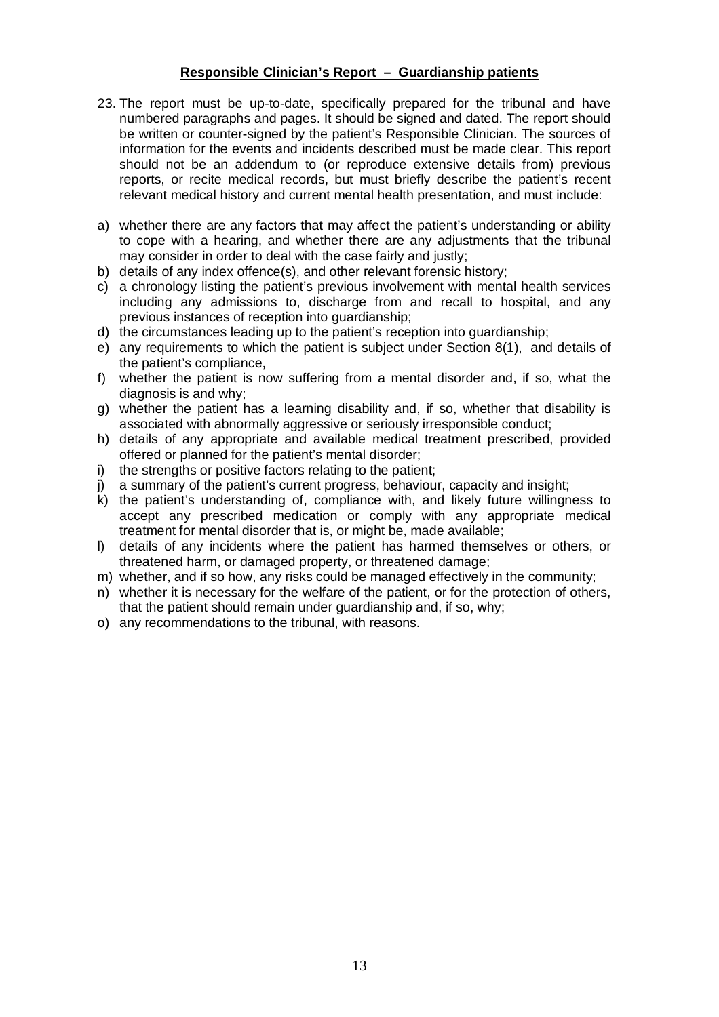#### **Responsible Clinician's Report – Guardianship patients**

- 23. The report must be up-to-date, specifically prepared for the tribunal and have numbered paragraphs and pages. It should be signed and dated. The report should be written or counter-signed by the patient's Responsible Clinician. The sources of information for the events and incidents described must be made clear. This report should not be an addendum to (or reproduce extensive details from) previous reports, or recite medical records, but must briefly describe the patient's recent relevant medical history and current mental health presentation, and must include:
- a) whether there are any factors that may affect the patient's understanding or ability to cope with a hearing, and whether there are any adjustments that the tribunal may consider in order to deal with the case fairly and justly;
- b) details of any index offence(s), and other relevant forensic history;
- c) a chronology listing the patient's previous involvement with mental health services including any admissions to, discharge from and recall to hospital, and any previous instances of reception into guardianship;
- d) the circumstances leading up to the patient's reception into guardianship;
- e) any requirements to which the patient is subject under Section 8(1), and details of the patient's compliance,
- f) whether the patient is now suffering from a mental disorder and, if so, what the diagnosis is and why;
- g) whether the patient has a learning disability and, if so, whether that disability is associated with abnormally aggressive or seriously irresponsible conduct;
- h) details of any appropriate and available medical treatment prescribed, provided offered or planned for the patient's mental disorder;
- i) the strengths or positive factors relating to the patient;
- j) a summary of the patient's current progress, behaviour, capacity and insight;
- k) the patient's understanding of, compliance with, and likely future willingness to accept any prescribed medication or comply with any appropriate medical treatment for mental disorder that is, or might be, made available;
- l) details of any incidents where the patient has harmed themselves or others, or threatened harm, or damaged property, or threatened damage;
- m) whether, and if so how, any risks could be managed effectively in the community;
- n) whether it is necessary for the welfare of the patient, or for the protection of others, that the patient should remain under guardianship and, if so, why;
- o) any recommendations to the tribunal, with reasons.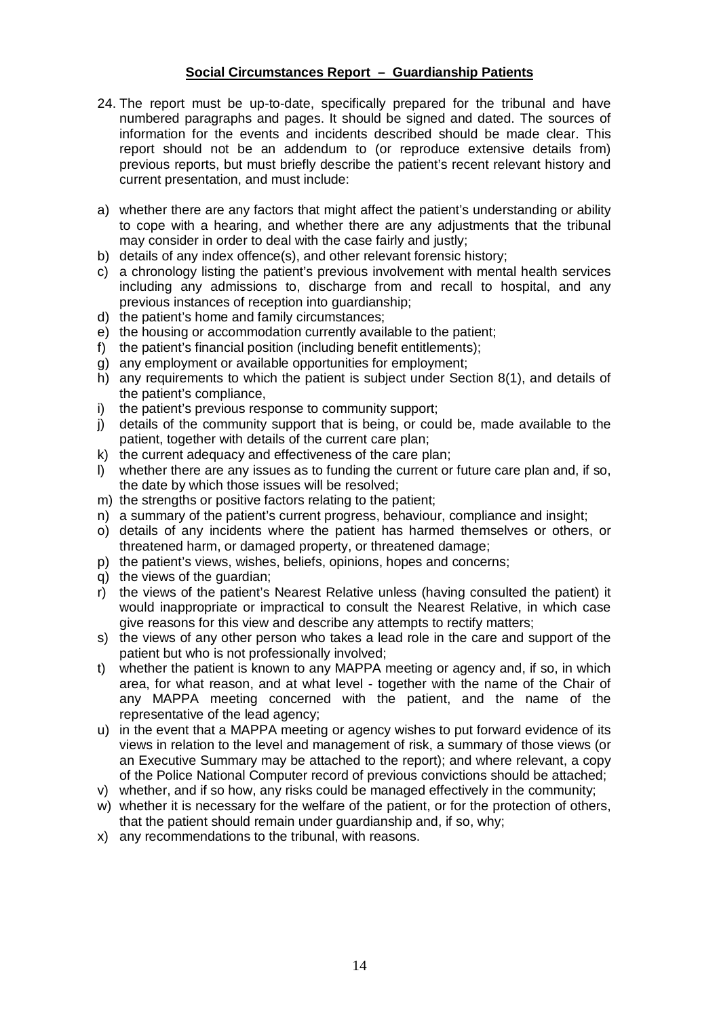# **Social Circumstances Report – Guardianship Patients**

- 24. The report must be up-to-date, specifically prepared for the tribunal and have numbered paragraphs and pages. It should be signed and dated. The sources of information for the events and incidents described should be made clear. This report should not be an addendum to (or reproduce extensive details from) previous reports, but must briefly describe the patient's recent relevant history and current presentation, and must include:
- a) whether there are any factors that might affect the patient's understanding or ability to cope with a hearing, and whether there are any adjustments that the tribunal may consider in order to deal with the case fairly and justly;
- b) details of any index offence(s), and other relevant forensic history;
- c) a chronology listing the patient's previous involvement with mental health services including any admissions to, discharge from and recall to hospital, and any previous instances of reception into guardianship;
- d) the patient's home and family circumstances;
- e) the housing or accommodation currently available to the patient;
- f) the patient's financial position (including benefit entitlements);
- g) any employment or available opportunities for employment;
- h) any requirements to which the patient is subject under Section 8(1), and details of the patient's compliance,
- i) the patient's previous response to community support;
- j) details of the community support that is being, or could be, made available to the patient, together with details of the current care plan;
- k) the current adequacy and effectiveness of the care plan;
- l) whether there are any issues as to funding the current or future care plan and, if so, the date by which those issues will be resolved;
- m) the strengths or positive factors relating to the patient;
- n) a summary of the patient's current progress, behaviour, compliance and insight;
- o) details of any incidents where the patient has harmed themselves or others, or threatened harm, or damaged property, or threatened damage;
- p) the patient's views, wishes, beliefs, opinions, hopes and concerns;
- q) the views of the guardian;
- r) the views of the patient's Nearest Relative unless (having consulted the patient) it would inappropriate or impractical to consult the Nearest Relative, in which case give reasons for this view and describe any attempts to rectify matters;
- s) the views of any other person who takes a lead role in the care and support of the patient but who is not professionally involved;
- t) whether the patient is known to any MAPPA meeting or agency and, if so, in which area, for what reason, and at what level - together with the name of the Chair of any MAPPA meeting concerned with the patient, and the name of the representative of the lead agency;
- u) in the event that a MAPPA meeting or agency wishes to put forward evidence of its views in relation to the level and management of risk, a summary of those views (or an Executive Summary may be attached to the report); and where relevant, a copy of the Police National Computer record of previous convictions should be attached;
- v) whether, and if so how, any risks could be managed effectively in the community;
- w) whether it is necessary for the welfare of the patient, or for the protection of others, that the patient should remain under guardianship and, if so, why;
- x) any recommendations to the tribunal, with reasons.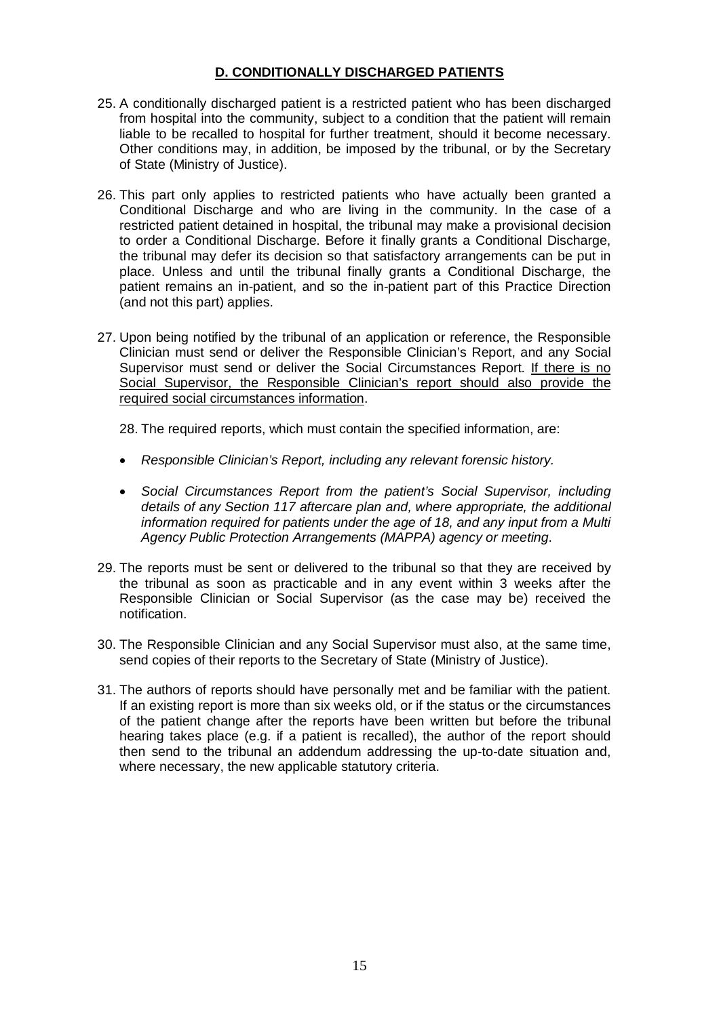#### **D. CONDITIONALLY DISCHARGED PATIENTS**

- 25. A conditionally discharged patient is a restricted patient who has been discharged from hospital into the community, subject to a condition that the patient will remain liable to be recalled to hospital for further treatment, should it become necessary. Other conditions may, in addition, be imposed by the tribunal, or by the Secretary of State (Ministry of Justice).
- 26. This part only applies to restricted patients who have actually been granted a Conditional Discharge and who are living in the community. In the case of a restricted patient detained in hospital, the tribunal may make a provisional decision to order a Conditional Discharge. Before it finally grants a Conditional Discharge, the tribunal may defer its decision so that satisfactory arrangements can be put in place. Unless and until the tribunal finally grants a Conditional Discharge, the patient remains an in-patient, and so the in-patient part of this Practice Direction (and not this part) applies.
- 27. Upon being notified by the tribunal of an application or reference, the Responsible Clinician must send or deliver the Responsible Clinician's Report, and any Social Supervisor must send or deliver the Social Circumstances Report. If there is no Social Supervisor, the Responsible Clinician's report should also provide the required social circumstances information.
	- 28. The required reports, which must contain the specified information, are:
	- *Responsible Clinician's Report, including any relevant forensic history.*
	- *Social Circumstances Report from the patient's Social Supervisor, including details of any Section 117 aftercare plan and, where appropriate, the additional information required for patients under the age of 18, and any input from a Multi Agency Public Protection Arrangements (MAPPA) agency or meeting*.
- 29. The reports must be sent or delivered to the tribunal so that they are received by the tribunal as soon as practicable and in any event within 3 weeks after the Responsible Clinician or Social Supervisor (as the case may be) received the notification.
- 30. The Responsible Clinician and any Social Supervisor must also, at the same time, send copies of their reports to the Secretary of State (Ministry of Justice).
- 31. The authors of reports should have personally met and be familiar with the patient. If an existing report is more than six weeks old, or if the status or the circumstances of the patient change after the reports have been written but before the tribunal hearing takes place (e.g. if a patient is recalled), the author of the report should then send to the tribunal an addendum addressing the up-to-date situation and, where necessary, the new applicable statutory criteria.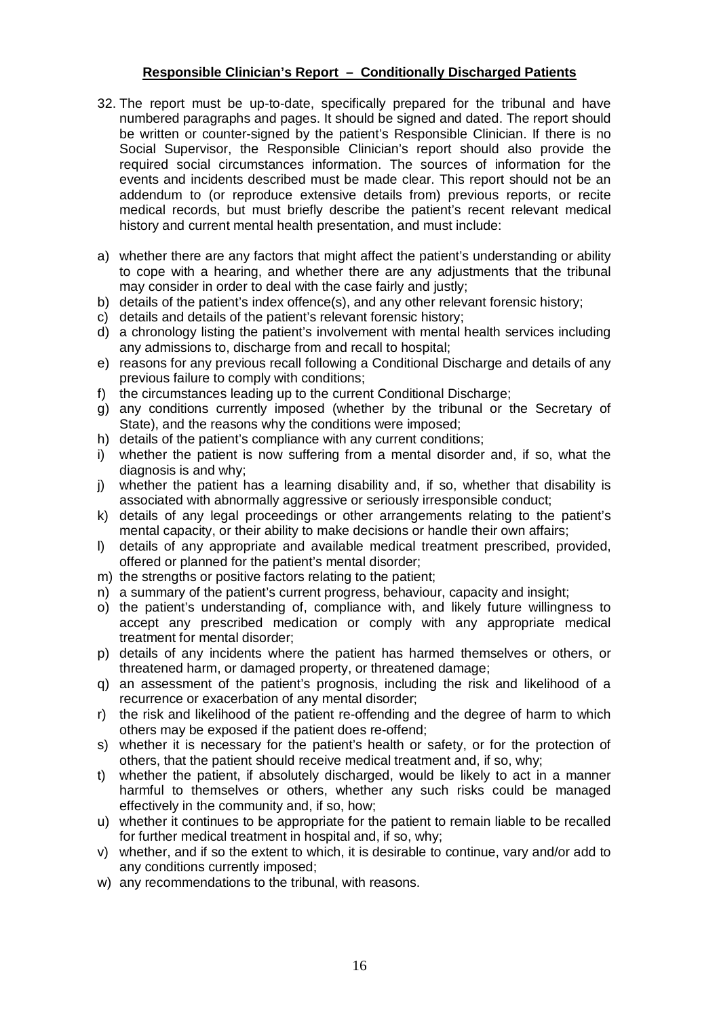## **Responsible Clinician's Report – Conditionally Discharged Patients**

- 32. The report must be up-to-date, specifically prepared for the tribunal and have numbered paragraphs and pages. It should be signed and dated. The report should be written or counter-signed by the patient's Responsible Clinician. If there is no Social Supervisor, the Responsible Clinician's report should also provide the required social circumstances information. The sources of information for the events and incidents described must be made clear. This report should not be an addendum to (or reproduce extensive details from) previous reports, or recite medical records, but must briefly describe the patient's recent relevant medical history and current mental health presentation, and must include:
- a) whether there are any factors that might affect the patient's understanding or ability to cope with a hearing, and whether there are any adjustments that the tribunal may consider in order to deal with the case fairly and justly;
- b) details of the patient's index offence(s), and any other relevant forensic history;
- c) details and details of the patient's relevant forensic history;
- d) a chronology listing the patient's involvement with mental health services including any admissions to, discharge from and recall to hospital;
- e) reasons for any previous recall following a Conditional Discharge and details of any previous failure to comply with conditions;
- f) the circumstances leading up to the current Conditional Discharge;
- g) any conditions currently imposed (whether by the tribunal or the Secretary of State), and the reasons why the conditions were imposed;
- h) details of the patient's compliance with any current conditions;
- i) whether the patient is now suffering from a mental disorder and, if so, what the diagnosis is and why;
- j) whether the patient has a learning disability and, if so, whether that disability is associated with abnormally aggressive or seriously irresponsible conduct;
- k) details of any legal proceedings or other arrangements relating to the patient's mental capacity, or their ability to make decisions or handle their own affairs;
- l) details of any appropriate and available medical treatment prescribed, provided, offered or planned for the patient's mental disorder;
- m) the strengths or positive factors relating to the patient;
- n) a summary of the patient's current progress, behaviour, capacity and insight;
- o) the patient's understanding of, compliance with, and likely future willingness to accept any prescribed medication or comply with any appropriate medical treatment for mental disorder;
- p) details of any incidents where the patient has harmed themselves or others, or threatened harm, or damaged property, or threatened damage;
- q) an assessment of the patient's prognosis, including the risk and likelihood of a recurrence or exacerbation of any mental disorder;
- r) the risk and likelihood of the patient re-offending and the degree of harm to which others may be exposed if the patient does re-offend;
- s) whether it is necessary for the patient's health or safety, or for the protection of others, that the patient should receive medical treatment and, if so, why;
- t) whether the patient, if absolutely discharged, would be likely to act in a manner harmful to themselves or others, whether any such risks could be managed effectively in the community and, if so, how;
- u) whether it continues to be appropriate for the patient to remain liable to be recalled for further medical treatment in hospital and, if so, why;
- v) whether, and if so the extent to which, it is desirable to continue, vary and/or add to any conditions currently imposed;
- w) any recommendations to the tribunal, with reasons.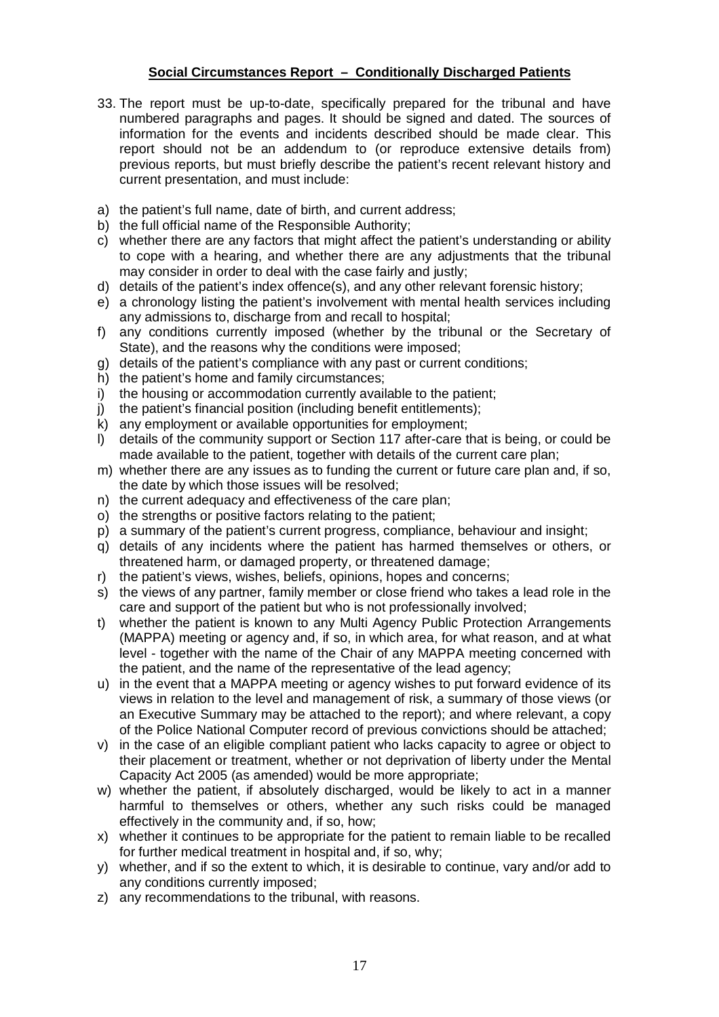# **Social Circumstances Report – Conditionally Discharged Patients**

- 33. The report must be up-to-date, specifically prepared for the tribunal and have numbered paragraphs and pages. It should be signed and dated. The sources of information for the events and incidents described should be made clear. This report should not be an addendum to (or reproduce extensive details from) previous reports, but must briefly describe the patient's recent relevant history and current presentation, and must include:
- a) the patient's full name, date of birth, and current address;
- b) the full official name of the Responsible Authority;
- c) whether there are any factors that might affect the patient's understanding or ability to cope with a hearing, and whether there are any adjustments that the tribunal may consider in order to deal with the case fairly and justly;
- d) details of the patient's index offence(s), and any other relevant forensic history;
- e) a chronology listing the patient's involvement with mental health services including any admissions to, discharge from and recall to hospital;
- f) any conditions currently imposed (whether by the tribunal or the Secretary of State), and the reasons why the conditions were imposed;
- g) details of the patient's compliance with any past or current conditions;
- h) the patient's home and family circumstances;
- i) the housing or accommodation currently available to the patient;
- j) the patient's financial position (including benefit entitlements);
- k) any employment or available opportunities for employment;
- l) details of the community support or Section 117 after-care that is being, or could be made available to the patient, together with details of the current care plan;
- m) whether there are any issues as to funding the current or future care plan and, if so, the date by which those issues will be resolved;
- n) the current adequacy and effectiveness of the care plan;
- o) the strengths or positive factors relating to the patient;
- p) a summary of the patient's current progress, compliance, behaviour and insight;
- q) details of any incidents where the patient has harmed themselves or others, or threatened harm, or damaged property, or threatened damage;
- r) the patient's views, wishes, beliefs, opinions, hopes and concerns;
- s) the views of any partner, family member or close friend who takes a lead role in the care and support of the patient but who is not professionally involved;
- t) whether the patient is known to any Multi Agency Public Protection Arrangements (MAPPA) meeting or agency and, if so, in which area, for what reason, and at what level - together with the name of the Chair of any MAPPA meeting concerned with the patient, and the name of the representative of the lead agency;
- u) in the event that a MAPPA meeting or agency wishes to put forward evidence of its views in relation to the level and management of risk, a summary of those views (or an Executive Summary may be attached to the report); and where relevant, a copy of the Police National Computer record of previous convictions should be attached;
- v) in the case of an eligible compliant patient who lacks capacity to agree or object to their placement or treatment, whether or not deprivation of liberty under the Mental Capacity Act 2005 (as amended) would be more appropriate;
- w) whether the patient, if absolutely discharged, would be likely to act in a manner harmful to themselves or others, whether any such risks could be managed effectively in the community and, if so, how;
- x) whether it continues to be appropriate for the patient to remain liable to be recalled for further medical treatment in hospital and, if so, why;
- y) whether, and if so the extent to which, it is desirable to continue, vary and/or add to any conditions currently imposed;
- z) any recommendations to the tribunal, with reasons.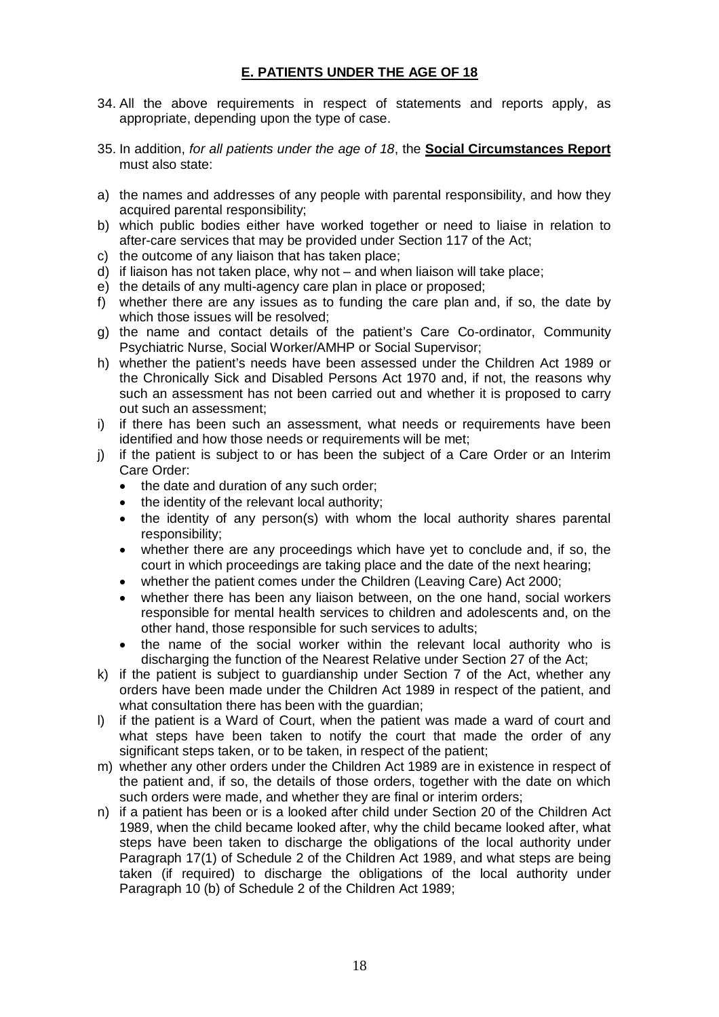# **E. PATIENTS UNDER THE AGE OF 18**

- 34. All the above requirements in respect of statements and reports apply, as appropriate, depending upon the type of case.
- 35. In addition, *for all patients under the age of 18*, the **Social Circumstances Report** must also state:
- a) the names and addresses of any people with parental responsibility, and how they acquired parental responsibility;
- b) which public bodies either have worked together or need to liaise in relation to after-care services that may be provided under Section 117 of the Act;
- c) the outcome of any liaison that has taken place;
- d) if liaison has not taken place, why not and when liaison will take place;
- e) the details of any multi-agency care plan in place or proposed;
- f) whether there are any issues as to funding the care plan and, if so, the date by which those issues will be resolved;
- g) the name and contact details of the patient's Care Co-ordinator, Community Psychiatric Nurse, Social Worker/AMHP or Social Supervisor;
- h) whether the patient's needs have been assessed under the Children Act 1989 or the Chronically Sick and Disabled Persons Act 1970 and, if not, the reasons why such an assessment has not been carried out and whether it is proposed to carry out such an assessment;
- i) if there has been such an assessment, what needs or requirements have been identified and how those needs or requirements will be met;
- j) if the patient is subject to or has been the subject of a Care Order or an Interim Care Order:
	- the date and duration of any such order;
	- the identity of the relevant local authority;
	- the identity of any person(s) with whom the local authority shares parental responsibility;
	- whether there are any proceedings which have yet to conclude and, if so, the court in which proceedings are taking place and the date of the next hearing;
	- whether the patient comes under the Children (Leaving Care) Act 2000;
	- whether there has been any liaison between, on the one hand, social workers responsible for mental health services to children and adolescents and, on the other hand, those responsible for such services to adults;
	- the name of the social worker within the relevant local authority who is discharging the function of the Nearest Relative under Section 27 of the Act;
- k) if the patient is subject to guardianship under Section 7 of the Act, whether any orders have been made under the Children Act 1989 in respect of the patient, and what consultation there has been with the guardian;
- l) if the patient is a Ward of Court, when the patient was made a ward of court and what steps have been taken to notify the court that made the order of any significant steps taken, or to be taken, in respect of the patient;
- m) whether any other orders under the Children Act 1989 are in existence in respect of the patient and, if so, the details of those orders, together with the date on which such orders were made, and whether they are final or interim orders;
- n) if a patient has been or is a looked after child under Section 20 of the Children Act 1989, when the child became looked after, why the child became looked after, what steps have been taken to discharge the obligations of the local authority under Paragraph 17(1) of Schedule 2 of the Children Act 1989, and what steps are being taken (if required) to discharge the obligations of the local authority under Paragraph 10 (b) of Schedule 2 of the Children Act 1989;